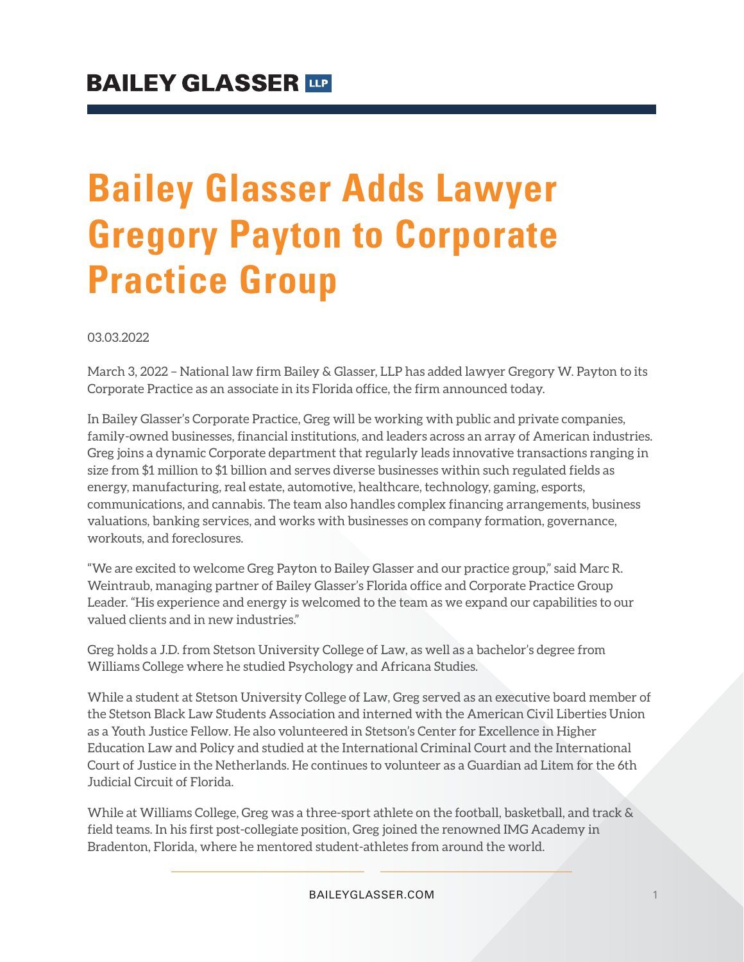# **Bailey Glasser Adds Lawyer Gregory Payton to Corporate Practice Group**

03.03.2022

March 3, 2022 – National law firm Bailey & Glasser, LLP has added lawyer Gregory W. Payton to its Corporate Practice as an associate in its Florida office, the firm announced today.

In Bailey Glasser's Corporate Practice, Greg will be working with public and private companies, family-owned businesses, financial institutions, and leaders across an array of American industries. Greg joins a dynamic Corporate department that regularly leads innovative transactions ranging in size from \$1 million to \$1 billion and serves diverse businesses within such regulated fields as energy, manufacturing, real estate, automotive, healthcare, technology, gaming, esports, communications, and cannabis. The team also handles complex financing arrangements, business valuations, banking services, and works with businesses on company formation, governance, workouts, and foreclosures.

"We are excited to welcome Greg Payton to Bailey Glasser and our practice group," said Marc R. Weintraub, managing partner of Bailey Glasser's Florida office and Corporate Practice Group Leader. "His experience and energy is welcomed to the team as we expand our capabilities to our valued clients and in new industries."

Greg holds a J.D. from Stetson University College of Law, as well as a bachelor's degree from Williams College where he studied Psychology and Africana Studies.

While a student at Stetson University College of Law, Greg served as an executive board member of the Stetson Black Law Students Association and interned with the American Civil Liberties Union as a Youth Justice Fellow. He also volunteered in Stetson's Center for Excellence in Higher Education Law and Policy and studied at the International Criminal Court and the International Court of Justice in the Netherlands. He continues to volunteer as a Guardian ad Litem for the 6th Judicial Circuit of Florida.

While at Williams College, Greg was a three-sport athlete on the football, basketball, and track & field teams. In his first post-collegiate position, Greg joined the renowned IMG Academy in Bradenton, Florida, where he mentored student-athletes from around the world.